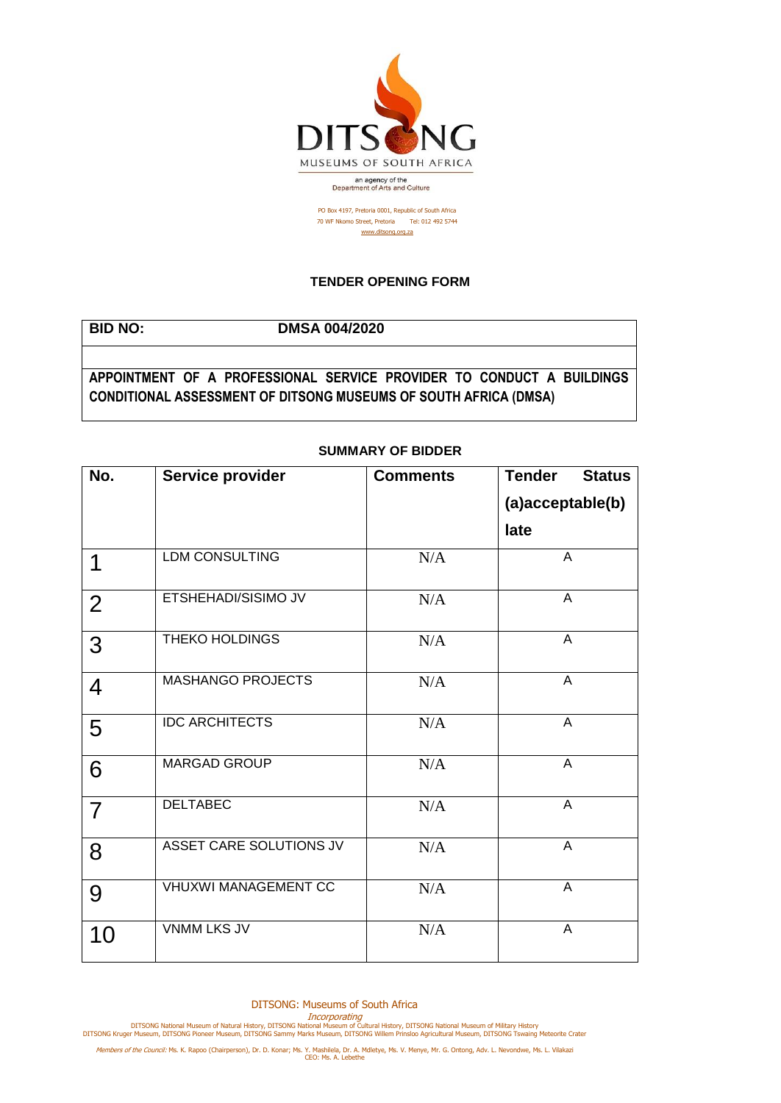

PO Box 4197, Pretoria 0001, Republic of South Africa 70 WF Nkomo Street, Pretoria Tel: 012 492 5744 [www.ditsong.org.za](http://www.ditsong.org.za/)

## **TENDER OPENING FORM**

## **BID NO: DMSA 004/2020 APPOINTMENT OF A PROFESSIONAL SERVICE PROVIDER TO CONDUCT A BUILDINGS CONDITIONAL ASSESSMENT OF DITSONG MUSEUMS OF SOUTH AFRICA (DMSA)**

| No.            | Service provider            | <b>Comments</b> | <b>Tender</b><br><b>Status</b> |
|----------------|-----------------------------|-----------------|--------------------------------|
|                |                             |                 | (a)acceptable(b)               |
|                |                             |                 | late                           |
| 1              | <b>LDM CONSULTING</b>       | N/A             | A                              |
| 2              | ETSHEHADI/SISIMO JV         | N/A             | A                              |
| 3              | <b>THEKO HOLDINGS</b>       | N/A             | A                              |
| $\overline{4}$ | <b>MASHANGO PROJECTS</b>    | N/A             | A                              |
| 5              | <b>IDC ARCHITECTS</b>       | N/A             | $\overline{A}$                 |
| 6              | <b>MARGAD GROUP</b>         | N/A             | $\overline{A}$                 |
| $\overline{7}$ | <b>DELTABEC</b>             | N/A             | A                              |
| 8              | ASSET CARE SOLUTIONS JV     | N/A             | A                              |
| 9              | <b>VHUXWI MANAGEMENT CC</b> | N/A             | A                              |
| 10             | <b>VNMM LKS JV</b>          | N/A             | $\overline{A}$                 |

## **SUMMARY OF BIDDER**

DITSONG: Museums of South Africa

Incorporating<br>DITSONG National Museum of Natural History, DITSONG National Museum of Military History<br>DITSONG Kruger Museum, DITSONG Pioneer Museum, DITSONG Sammy Marks Museum, DITSONG Willem Prinsloo Agricultural Museum,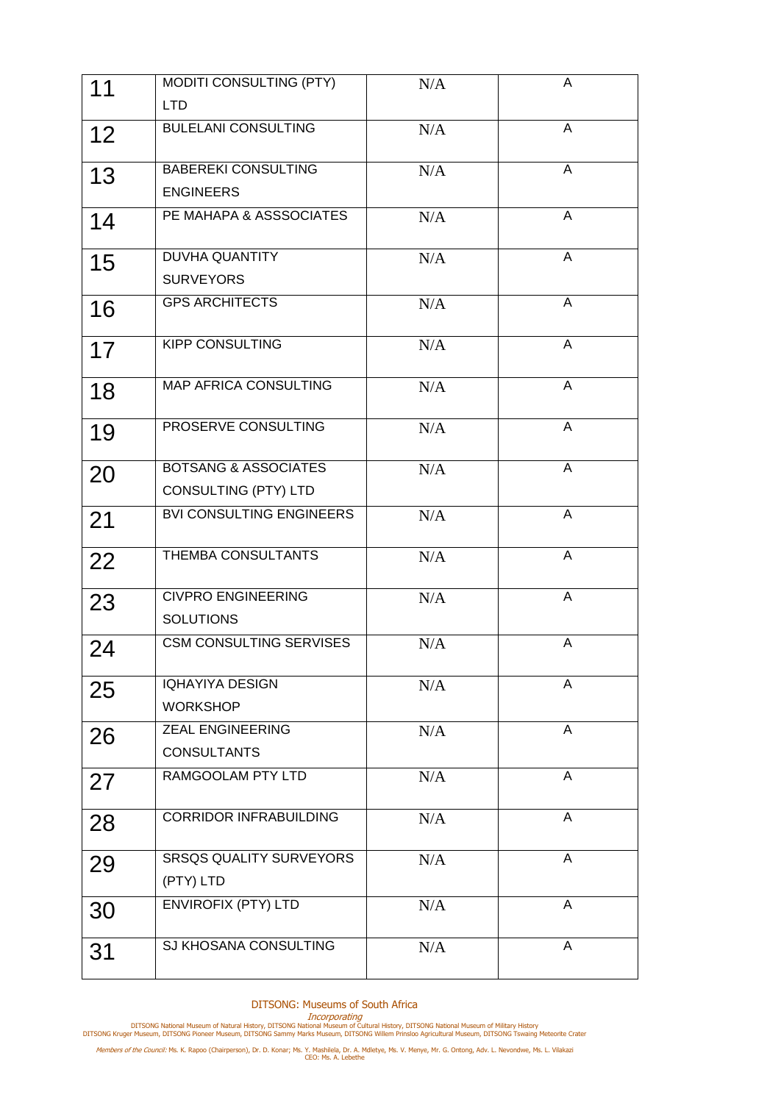| 11 | MODITI CONSULTING (PTY)                                 | N/A | A              |
|----|---------------------------------------------------------|-----|----------------|
|    | <b>LTD</b>                                              |     |                |
| 12 | <b>BULELANI CONSULTING</b>                              | N/A | A              |
| 13 | <b>BABEREKI CONSULTING</b><br><b>ENGINEERS</b>          | N/A | A              |
| 14 | PE MAHAPA & ASSSOCIATES                                 | N/A | A              |
| 15 | <b>DUVHA QUANTITY</b><br><b>SURVEYORS</b>               | N/A | $\overline{A}$ |
| 16 | <b>GPS ARCHITECTS</b>                                   | N/A | $\overline{A}$ |
| 17 | <b>KIPP CONSULTING</b>                                  | N/A | A              |
| 18 | <b>MAP AFRICA CONSULTING</b>                            | N/A | A              |
| 19 | PROSERVE CONSULTING                                     | N/A | A              |
| 20 | <b>BOTSANG &amp; ASSOCIATES</b><br>CONSULTING (PTY) LTD | N/A | A              |
| 21 | <b>BVI CONSULTING ENGINEERS</b>                         | N/A | A              |
| 22 | THEMBA CONSULTANTS                                      | N/A | $\overline{A}$ |
| 23 | <b>CIVPRO ENGINEERING</b><br><b>SOLUTIONS</b>           | N/A | A              |
| 24 | <b>CSM CONSULTING SERVISES</b>                          | N/A | A              |
| 25 | <b>IQHAYIYA DESIGN</b><br><b>WORKSHOP</b>               | N/A | A              |
| 26 | <b>ZEAL ENGINEERING</b><br><b>CONSULTANTS</b>           | N/A | A              |
| 27 | RAMGOOLAM PTY LTD                                       | N/A | A              |
| 28 | <b>CORRIDOR INFRABUILDING</b>                           | N/A | A              |
| 29 | <b>SRSQS QUALITY SURVEYORS</b><br>(PTY) LTD             | N/A | A              |
| 30 | <b>ENVIROFIX (PTY) LTD</b>                              | N/A | A              |
| 31 | SJ KHOSANA CONSULTING                                   | N/A | A              |

DITSONG: Museums of South Africa

Incorporating<br>DITSONG National Museum of Natural History, DITSONG National Museum of Military History<br>DITSONG Kruger Museum, DITSONG Pioneer Museum, DITSONG Sammy Marks Museum, DITSONG Willem Prinsloo Agricultural Museum,